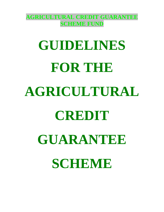**AGRICULTURAL CREDIT GUARANTEE SCHEME FUND** 

# **GUIDELINES FOR THE AGRICULTURAL CREDIT GUARANTEE SCHEME**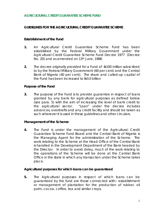## **AGRICULTURAL CREDIT GUARANTEE SCHEME FUND**

## **GUIDELINES FOR THE AGRICULTURAL CREDIT GUARANTEE SCHEME**

## **Establishment of the Fund**

- **1.** An Agricultural Credit Guarantee Scheme Fund has been established by the Federal Military Government under the Agricultural Credit Guarantee Scheme Fund Decree 1977 (Decree No. 20) and as amended on 13<sup>th</sup> June, 1988.
- **2.** The decree originally provided for a Fund of  $\frac{100}{100}$  million subscribed to by the Federal Military Government (60 per cent) and the Central Bank of Nigeria (40 per cent). The share and called-up capital of the Fund has been increased to  $43.0$  billion

## **Purpose of the Fund**

**3.** The purpose of the Fund is to provide guarantee in respect of loans granted by any bank for agricultural purposes as defined below (see para. 5) with the aim of increasing the level of bank credit to the agricultural sector. "Loan" under the decree includes advances, overdrafts and any credit facility and should be taken as such wherever it is used in these guidelines and other circulars.

## **Management of the Scheme**

**4.** The Fund is under the management of the Agricultural Credit Guarantee Scheme Fund Board and the Central Bank of Nigeria is the Managing Agent for the administration of the Scheme. The work relating to the Scheme at the Head Office of the Central Bank is handled in the Development Department of the Bank headed by the Director. In order to avoid delay, much of the work relating to the operations of the Scheme will be done at the Central Bank Office in the state in which any transaction under the Scheme takes place.

#### **Agricultural purposes for which loans can be guaranteed**

**5.** The Agricultural purposes in respect of which loans can be guaranteed by the fund are those connected with:- establishment or management of plantation for the production of rubber, oil palm, cocoa, coffee, tea and similar crops;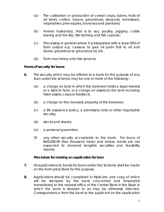- (a) The cultivation or production of cereal crops, tubers, fruits of all kinds, cotton, beans, groundnuts, sheanuts, benniseed, vegetables, pine-apples, bananas and plantains;
- (b) Animal husbandry, that is to say, poultry, piggery, cattle rearing and the like, fish farming and fish capture;
- (c) Processing in general where it is integrated with a least 50% of farm output e.g. cassava to gari, oil palm fruit to oil and kernel, groundnut to groundnut oil, etc.
- (d) Farm machinery and hire services.

# **Forms of security for loans**

- **6.** The security which may be offered to a bank for the purpose of any loan under the scheme may be one or more of the following:-
	- (a) a charge on land in which the borrower holds a legal interest or a right to farm, or a charge on assets on the land including fixed assets, crops or livestock;
	- (b) a charge on the movable property of the borrower;
	- (c) a life assurance policy, a promissory note or other negotiable security;
	- (d) stocks and shares;
	- (e) a personal guarantee;
	- (f) any other security acceptable to the bank. For loans of  $\frac{120,000.00}{100}$  (five thousand naira) and below, banks are not expected to demand tangible securities and feasibility reports.

## **Procedure for making an application for loan**

- **7.** All applications to banks for loans under the Scheme shall be made on the form prescribed for the purpose.
- **8.** Applications should be completed in triplicate, one copy of which will be stamped by the bank concerned and forwarded immediately to the nearest office of the Central Bank in the State in which the bank is situated or as may be otherwise directed. Correspondence from the bank to the applicant on the application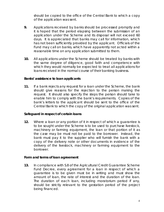should be copied to the office of the Central Bank to which a copy of the application was sent.

- **9.** Applications received by banks should be processed promptly and it is hoped that the period elapsing between the submission of an application under the Scheme and its disposal will not exceed 60 days. It is appreciated that banks may call for information, which has not been sufficiently provided by the applicant. Officials of the Fund may call on banks, which have apparently not acted within a reasonable time on any application submitted to them.
- **10.** All applications under the Scheme should be treated by banks with the same degree of diligence, good faith and competence with which they would normally be expected to treat all applications for loans received in the normal course of their banking business.

## **Banks' assistance to loan applicants**

**11.** If a bank rejects any request for a loan under the Scheme, the bank should give reasons for the rejection to the person making the request. It should also specify the steps the person should take to enable him to comply with the bank's requirements. Copies of the bank's letters to the applicant should be sent to the office of the Central Bank to which the copy of the original application was sent.

## **Safeguard in respect of certain loans**

**12.** Where a loan or any portion of it in respect of which a guarantee is to be sought under the Scheme is to be used to purchase livestock, machinery or farming equipment, the loan or that portion of it as the case may be must not be paid to the borrower. Instead, the bank must pay it to the supplier who will furnish the bank with a copy of the delivery note or other documents in evidence of the delivery of the livestock, machinery or farming equipment to the borrower.

## **Form and terms of loan agreement**

**13.** In compliance with S.8 of the Agricultural Credit Guarantee Scheme Fund Decree, every agreement for a loan in respect of which a guarantee is to be given must be in writing and must show the amount of loan, the rate of interest and the duration of the loan. The duration of each loan, including moratorium period if any, should be strictly relevant to the gestation period of the project being financed.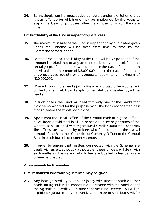**14.** Banks should remind prospective borrowers under the Scheme that it is an offence for which one may be imprisoned for five years to apply the loan for purposes other than those for which they are given.

# **Limits of liability of the Fund in respect of guarantees**

- **15.** The maximum liability of the Fund in respect of any guarantee given under the Scheme will be fixed from time to time by the Commissioner for Finance.
- **16.** For the time being, the liability of the Fund will be 75 per cent of the amount in default net of any amount realized by the bank from the security it got from the borrower, subject, in the case of a loan to an individual, to a maximum of N5,000,000 and, in the case of a loan to a co-operative society or a corporate body, to a maximum of N10,000,000.
- **17.** Where two or more banks jointly finance a project, the above limit of the Fund's liability will apply to the total loan granted by all the banks.
- **18.** In such cases, the Fund will deal with only one of the banks that may be nominated for the purpose by all the banks concerned as if it has granted the whole loan alone.
- **19.** Apart from the Head Office of the Central Bank of Nigeria, offices have been established in all branches and currency centres of the Central Bank to deal with Agricultural Credit Guarantee Scheme. The offices are manned by officers who function under the overall control of the Branches Controller or Currency Officer of the Central Bank in each branch or currency centre.
- **20.** In order to ensure that matters connected with the Scheme are dealt with as expeditiously as possible, these officers will deal with such matters in the state in which they are located unless banks are otherwise directed.

# **Arrangements for Guarantee**

# **Circumstances under which guarantee may be given**

**21.** Any loan granted by a bank or jointly with another bank or other banks for agricultural purposes in accordance with the provisions of the Agricultural Credit Guarantee Scheme Fund Decree 1977 will be eligible for guarantee by the Fund. Guarantee of such loans will, for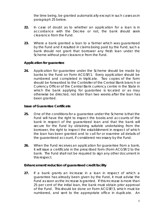the time being, be granted automatically except in such cases as in paragraph 25 below.

- **22.** In case of doubt as to whether an application for a loan is in accordance with the Decree or not, the bank should seek clearance from the Fund.
- **23.** Where a bank granted a loan to a farmer which was guaranteed by the Fund and it resulted in claims being paid by the Fund, such a bank should not grant that borrower any fresh loan under the Scheme without prior clearance from the Fund.

# **Application for guarantee**

**24.** Application for guarantee under the Scheme should be made by banks to the Fund on Form ACGSF/1. Every application should be numbered and completed in triplicate. Two copies of the form should be forwarded to the Controller of the Central Bank branch or Currency Officer of the Central Bank currency centre in the State in which the bank applying for guarantee is located or as may otherwise be directed, not later than two weeks after the loan has been granted.

# **Issue of Guarantee Certificate**

- **25.** One of the conditions for a guarantee under the Scheme is that the Fund will have the right to inspect the books and accounts of the bank in respect of the guaranteed loan and that the bank will secure for the Fund by obtaining suitable undertaking from the borrower, the right to inspect the establishment in respect of which the loan has been granted and to call for or examine all details of the guaranteed account, if considered necessary by the Fund.
- **26.** When the Fund receives an application for guarantee from a bank, it will issue a certificate in the prescribed form (Form ACGSF/2 to the bank. The Fund shall not be required to sign any other document in this respect.

# **Enhancement/reduction of guaranteed credit facility**

**27.** If a bank grants an increase in a loan in respect of which a guarantee has already been given by the Fund, it must advise the Fund as soon as the increase is granted. If this increase is more than 25 per cent of the initial loan, the bank must obtain prior approval of the Fund. This should be done on Form ACGSF/3, which must be numbered, and sent to the appropriate office in duplicate. An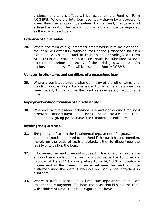endorsement to this effect will be issued by the Fund on Form ACGSF/5. Where the total loan eventually drawn by a borrower is lower than the amount guaranteed by the Fund, the bank shall advise the Fund of the new amount which shall now be regarded as the guaranteed loan.

# **Extension of a guarantee**

**28.** Where the term of a guaranteed credit facility is to be extended, the bank will after fully satisfying itself of the justification for such extension, advise the Fund of its intention accordingly on Form ACGSF/4 in duplicate. Such advice should be submitted at least one month before the expiry of the existing guarantee. An endorsement to this effect will be issued on Form ACGSF/5.

## **Variation in other terms and conditions of a guaranteed loan**

**29.** Where a bank approves a change in any of the other terms and conditions governing a loan in respect of which a guarantee has been issued, it must advise the Fund as soon as such approval is given.

## **Repayment or discontinuation of a credit facility**

**30.** Whenever a guaranteed advance is repaid or the credit facility is otherwise discontinued, the bank should advise the Fund immediately, giving particulars of the Guarantee Certificate.

## **Invoking the guarantee**

- **31.** Temporary default on the instalmental repayment of a guaranteed loan need not be reported to the Fund if the bank has no intention, merely on the basis of such a default, either to discontinue the facility or to call up the loan.
- **32.** If, however, the bank does not succeed in its efforts to regularize the account and calls up the loan, it should serve the Fund with a "Notice of Default" by completing Form ACGSF/6 in duplicate copies and of the correspondence between the bank and the customer since the default was noticed should be attached in duplicate.
- **33.** Where a default relates to a lump sum repayment or the last instalmental repayment of a loan, the bank should serve the Fund with "Notice of Default" as in paragraph 32 above.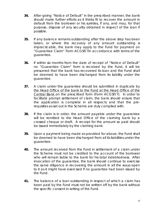- **34.** After giving "Notice of Default" in the prescribed manner, the bank should make further efforts as it thinks fit to recover the amount in default from the borrower or his sureties, if any, and may, for that purpose, dispose of any security obtained in respect of the loan if possible.
- **35.** If any balance remains outstanding after the above step has been taken, or where the recovery of any amount outstanding is impracticable, the bank may apply to the Fund for payment on "Guarantee Claim" Form ACGSF/7in accordance with terms of the guarantee.
- **36.** If within six months from the date of receipt of "Notice of Default" no "Guarantee Claim" form is received by the Fund, it will be presumed that the bank has recovered its loan and the Fund shall be deemed to have been discharged from its liability under the guarantee.
- **37.** A claim under the guarantee should be submitted in duplicate by the Head Office of the bank to the Fund at the Head Office of the Central Bank on the prescribed form (Form ACGSF/7). In order to facilitate prompt settlement of claim, the bank should ensure that the application is complete in all respects and that the prerequisites as set out in the Scheme are duly complied with.
- **38.** If the claim is in order, the amount payable under the guarantee will be remitted to the Head Office of the claiming bank by a crossed cheque or draft. A receipt for the amount so paid should be issued immediately by the claiming bank.
- **39.** Upon a payment being made as provided for above, the Fund shall be deemed to have been discharged from all its liabilities under the guarantee.
- **40.** The amount received from the Fund in settlement of a claim under the Scheme must not be credited to the account of the borrower who will remain liable to the bank for his total indebtedness. After invocation of the guarantee, the bank should continue to exercise the same diligence in recovering the amount in all the ways open to it as it might have exercised if no guarantee had been issued by the Fund.
- **41.** The balance of a loan outstanding in respect of which a claim has been paid by the Fund must not be written off by the bank without the specific consent in writing of the Fund.